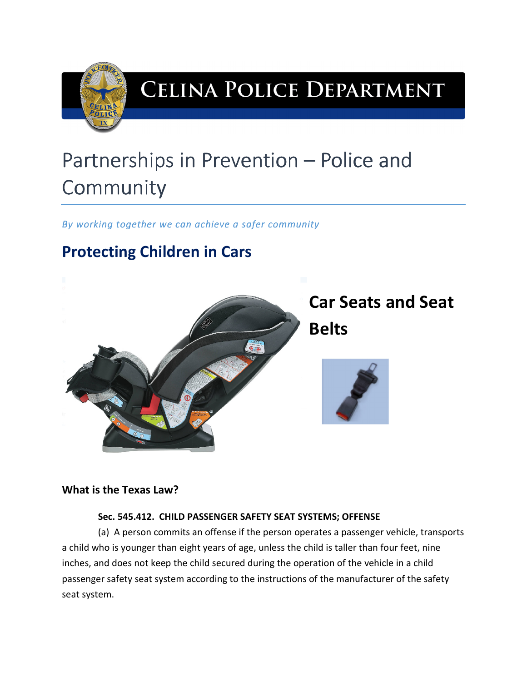

# CELINA POLICE DEPARTMENT

# Partnerships in Prevention – Police and **Community**

*By working together we can achieve a safer community* 

# **Protecting Children in Cars**



# **What is the Texas Law?**

### **Sec. 545.412. CHILD PASSENGER SAFETY SEAT SYSTEMS; OFFENSE**

(a) A person commits an offense if the person operates a passenger vehicle, transports a child who is younger than eight years of age, unless the child is taller than four feet, nine inches, and does not keep the child secured during the operation of the vehicle in a child passenger safety seat system according to the instructions of the manufacturer of the safety seat system.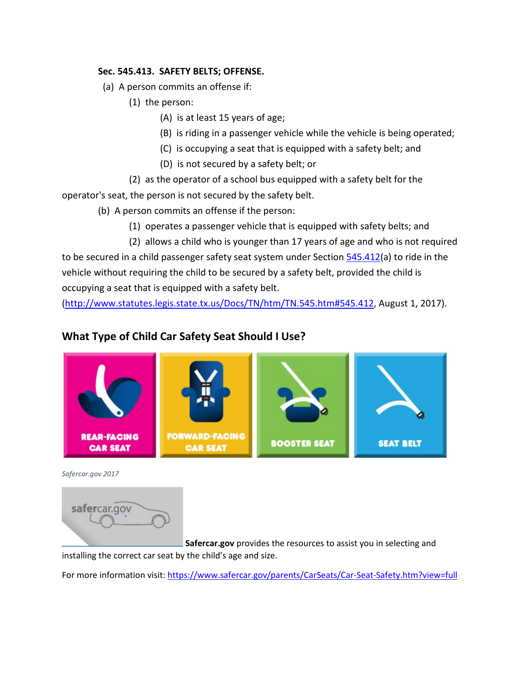#### **Sec. 545.413. SAFETY BELTS; OFFENSE.**

- (a) A person commits an offense if:
	- (1) the person:
		- (A) is at least 15 years of age;
		- (B) is riding in a passenger vehicle while the vehicle is being operated;
		- (C) is occupying a seat that is equipped with a safety belt; and
		- (D) is not secured by a safety belt; or

(2) as the operator of a school bus equipped with a safety belt for the operator's seat, the person is not secured by the safety belt.

- (b) A person commits an offense if the person:
	- (1) operates a passenger vehicle that is equipped with safety belts; and
	- (2) allows a child who is younger than 17 years of age and who is not required

to be secured in a child passenger safety seat system under Section 545.412(a) to ride in the vehicle without requiring the child to be secured by a safety belt, provided the child is occupying a seat that is equipped with a safety belt.

(http://www.statutes.legis.state.tx.us/Docs/TN/htm/TN.545.htm#545.412, August 1, 2017).

# **What Type of Child Car Safety Seat Should I Use?**



*Safercar.gov 2017*



 **Safercar.gov** provides the resources to assist you in selecting and

installing the correct car seat by the child's age and size.

For more information visit: https://www.safercar.gov/parents/CarSeats/Car-Seat-Safety.htm?view=full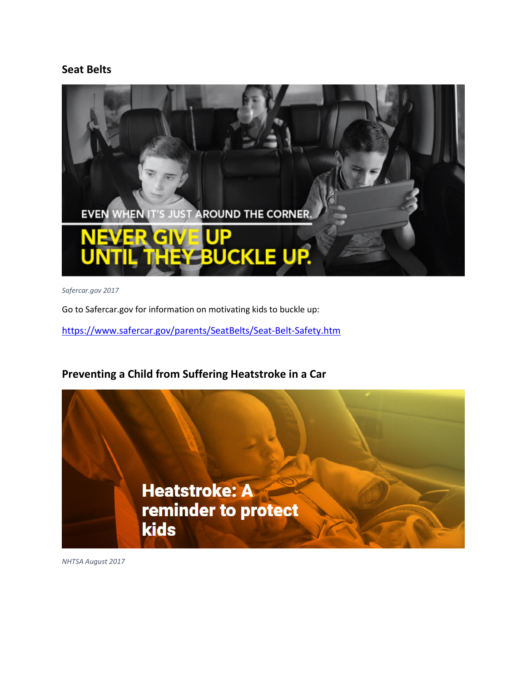### **Seat Belts**



*Safercar.gov 2017* 

Go to Safercar.gov for information on motivating kids to buckle up:

https://www.safercar.gov/parents/SeatBelts/Seat-Belt-Safety.htm

## **Preventing a Child from Suffering Heatstroke in a Car**



*NHTSA August 2017*